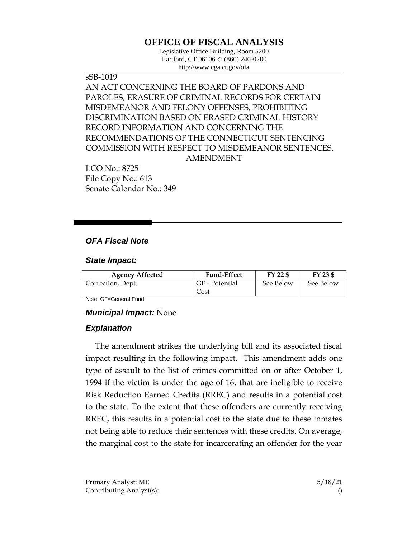# **OFFICE OF FISCAL ANALYSIS**

Legislative Office Building, Room 5200 Hartford, CT 06106 ◇ (860) 240-0200 http://www.cga.ct.gov/ofa

sSB-1019 AN ACT CONCERNING THE BOARD OF PARDONS AND PAROLES, ERASURE OF CRIMINAL RECORDS FOR CERTAIN MISDEMEANOR AND FELONY OFFENSES, PROHIBITING DISCRIMINATION BASED ON ERASED CRIMINAL HISTORY RECORD INFORMATION AND CONCERNING THE RECOMMENDATIONS OF THE CONNECTICUT SENTENCING COMMISSION WITH RESPECT TO MISDEMEANOR SENTENCES. AMENDMENT

LCO No.: 8725 File Copy No.: 613 Senate Calendar No.: 349

## *OFA Fiscal Note*

### *State Impact:*

| <b>Agency Affected</b> | <b>Fund-Effect</b> | FY 22 \$  | FY 23 \$  |
|------------------------|--------------------|-----------|-----------|
| Correction, Dept.      | GF - Potential     | See Below | See Below |
|                        | Cost               |           |           |

Note: GF=General Fund

### *Municipal Impact:* None

### *Explanation*

The amendment strikes the underlying bill and its associated fiscal impact resulting in the following impact. This amendment adds one type of assault to the list of crimes committed on or after October 1, 1994 if the victim is under the age of 16, that are ineligible to receive Risk Reduction Earned Credits (RREC) and results in a potential cost to the state. To the extent that these offenders are currently receiving RREC, this results in a potential cost to the state due to these inmates not being able to reduce their sentences with these credits. On average, the marginal cost to the state for incarcerating an offender for the year